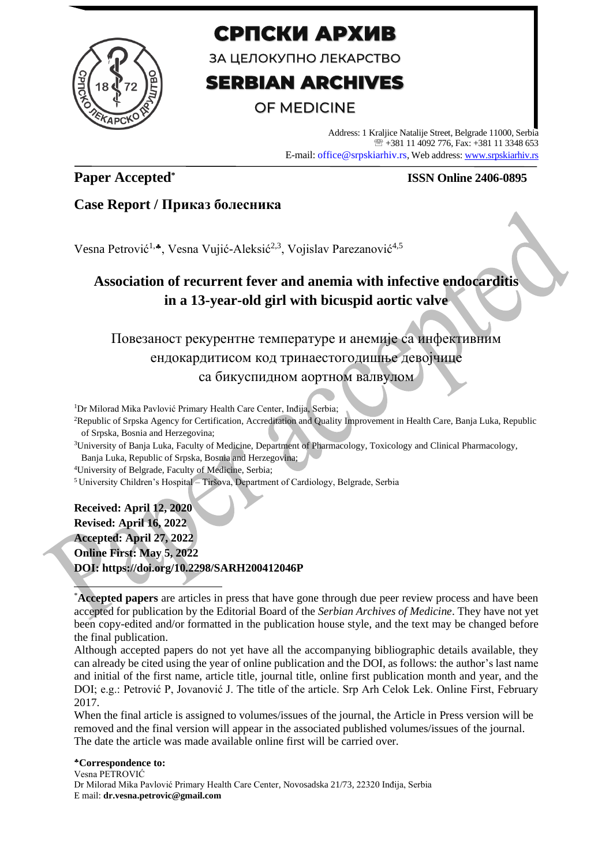

# СРПСКИ АРХИВ

ЗА ЦЕЛОКУПНО ЛЕКАРСТВО

# **SERBIAN ARCHIVES**

## OF MEDICINE

Address: 1 Kraljice Natalije Street, Belgrade 11000, Serbia +381 11 4092 776, Fax: +381 11 3348 653 E-mail: office@srpskiarhiv.rs, Web address[: www.srpskiarhiv.rs](http://www.srpskiarhiv.rs/)

### **Paper Accepted\***

#### **ISSN Online 2406-0895**

### **Case Report / Приказ болесника**

Vesna Petrović<sup>1,\*</sup>, Vesna Vujić-Aleksić<sup>2,3</sup>, Vojislav Parezanović<sup>4,5</sup>

# **Association of recurrent fever and anemia with infective endocarditis in a 13-year-old girl with bicuspid aortic valve**

## Повезаност рекурентне температуре и анемије са инфективним ендокардитисом код тринаестогодишње девојчице са бикуспидном аортном валвулом

<sup>1</sup>Dr Milorad Mika Pavlović Primary Health Care Center, Inđija, Serbia;

<sup>2</sup>Republic of Srpska Agency for Certification, Accreditation and Quality Improvement in Health Care, Banja Luka, Republic of Srpska, Bosnia and Herzegovina;

<sup>3</sup>University of Banja Luka, Faculty of Medicine, Department of Pharmacology, Toxicology and Clinical Pharmacology, Banja Luka, Republic of Srpska, Bosnia and Herzegovina;

<sup>4</sup>University of Belgrade, Faculty of Medicine, Serbia;

<sup>5</sup>University Children's Hospital – Tiršova, Department of Cardiology, Belgrade, Serbia

**Received: April 12, 2020 Revised: April 16, 2022 Accepted: April 27, 2022 Online First: May 5, 2022 DOI: https://doi.org/10.2298/SARH200412046P**

\***Accepted papers** are articles in press that have gone through due peer review process and have been accepted for publication by the Editorial Board of the *Serbian Archives of Medicine*. They have not yet been copy-edited and/or formatted in the publication house style, and the text may be changed before the final publication.

Although accepted papers do not yet have all the accompanying bibliographic details available, they can already be cited using the year of online publication and the DOI, as follows: the author's last name and initial of the first name, article title, journal title, online first publication month and year, and the DOI; e.g.: Petrović P, Jovanović J. The title of the article. Srp Arh Celok Lek. Online First, February 2017.

When the final article is assigned to volumes/issues of the journal, the Article in Press version will be removed and the final version will appear in the associated published volumes/issues of the journal. The date the article was made available online first will be carried over.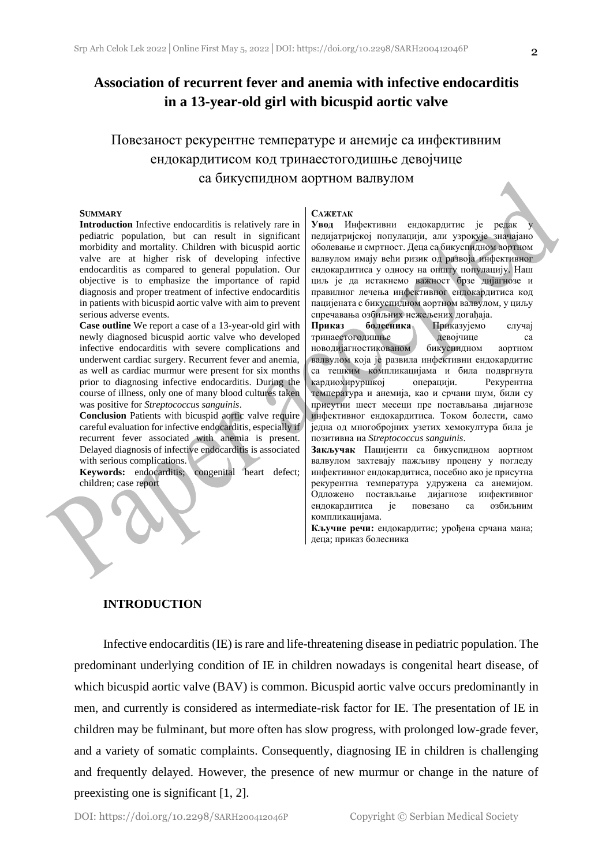### **Association of recurrent fever and anemia with infective endocarditis in a 13-year-old girl with bicuspid aortic valve**

## Повезаност рекурентне температуре и анемије са инфективним ендокардитисом код тринаестогодишње девојчице са бикуспидном аортном валвулом

#### **SUMMARY**

**Introduction** Infective endocarditis is relatively rare in pediatric population, but can result in significant morbidity and mortality. Children with bicuspid aortic valve are at higher risk of developing infective endocarditis as compared to general population. Our objective is to emphasize the importance of rapid diagnosis and proper treatment of infective endocarditis in patients with bicuspid aortic valve with aim to prevent serious adverse events.

**Case outline** We report a case of a 13-year-old girl with newly diagnosed bicuspid aortic valve who developed infective endocarditis with severe complications and underwent cardiac surgery. Recurrent fever and anemia, as well as cardiac murmur were present for six months prior to diagnosing infective endocarditis. During the course of illness, only one of many blood cultures taken was positive for *Streptococcus sanguinis*.

**Conclusion** Patients with bicuspid aortic valve require careful evaluation for infective endocarditis, especially if recurrent fever associated with anemia is present. Delayed diagnosis of infective endocarditis is associated with serious complications.

**Keywords:** endocarditis; congenital heart defect; children; case report

#### **САЖЕТАК**

**Увод** Инфективни ендокардитис је редак педијатријској популацији, али узрокује значајано оболевање и смртност. Деца са бикуспидном аортном валвулом имају већи ризик од развоја инфективног ендокардитиса у односу на општу популацију. Наш циљ је да истакнемо важност брзе дијагнозе и правилног лечења инфективног ендокардитиса код пацијената с бикуспидном аортном валвулом, у циљу спречавања озбиљних нежељених догађаја.

**Приказ болесника** Приказујемо случај тринаестогодишње девојчице са новодијагностикованом бикуспидном аортном валвулом која је развила инфективни ендокардитис са тешким компликацијама и била подвргнута кардиохируршкој операцији. Рекурентна температура и анемија, као и срчани шум, били су присутни шест месеци пре постављања дијагнозе инфективног ендокардитиса. Током болести, само једна од многобројних узетих хемокултура била је позитивна на *Streptococcus sanguinis*.

**Закључак** Пацијенти са бикуспидном аортном валвулом захтевају пажљиву процену у погледу инфективног ендокардитиса, посебно ако је присутна рекурентна температура удружена са анемијом. Одложено постављање дијагнозе инфективног ендокардитиса је повезано са озбиљним компликацијама.

**Кључне речи:** ендокардитис; урођена срчана мана; деца; приказ болесника

#### **INTRODUCTION**

Infective endocarditis (IE) is rare and life-threatening disease in pediatric population. The predominant underlying condition of IE in children nowadays is congenital heart disease, of which bicuspid aortic valve (BAV) is common. Bicuspid aortic valve occurs predominantly in men, and currently is considered as intermediate-risk factor for IE. The presentation of IE in children may be fulminant, but more often has slow progress, with prolonged low-grade fever, and a variety of somatic complaints. Consequently, diagnosing IE in children is challenging and frequently delayed. However, the presence of new murmur or change in the nature of preexisting one is significant [1, 2].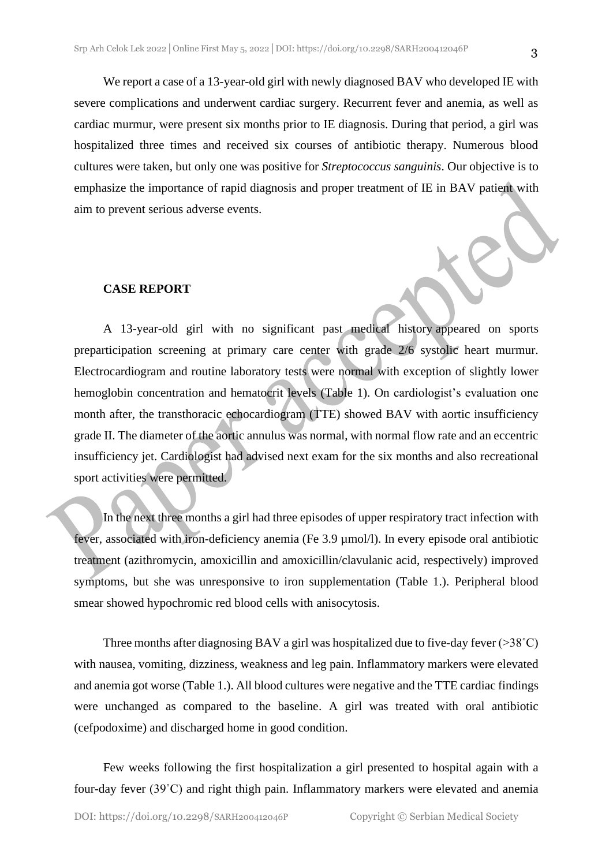We report a case of a 13-year-old girl with newly diagnosed BAV who developed IE with severe complications and underwent cardiac surgery. Recurrent fever and anemia, as well as cardiac murmur, were present six months prior to IE diagnosis. During that period, a girl was hospitalized three times and received six courses of antibiotic therapy. Numerous blood cultures were taken, but only one was positive for *Streptococcus sanguinis*. Our objective is to emphasize the importance of rapid diagnosis and proper treatment of IE in BAV patient with aim to prevent serious adverse events.

#### **CASE REPORT**

A 13-year-old girl with no significant past medical history appeared on sports preparticipation screening at primary care center with grade 2/6 systolic heart murmur. Electrocardiogram and routine laboratory tests were normal with exception of slightly lower hemoglobin concentration and hematocrit levels (Table 1). On cardiologist's evaluation one month after, the transthoracic echocardiogram (TTE) showed BAV with aortic insufficiency grade II. The diameter of the aortic annulus was normal, with normal flow rate and an eccentric insufficiency jet. Cardiologist had advised next exam for the six months and also recreational sport activities were permitted.

In the next three months a girl had three episodes of upper respiratory tract infection with fever, associated with iron-deficiency anemia (Fe 3.9 µmol/l). In every episode oral antibiotic treatment (azithromycin, amoxicillin and amoxicillin/clavulanic acid, respectively) improved symptoms, but she was unresponsive to iron supplementation (Table 1.). Peripheral blood smear showed hypochromic red blood cells with anisocytosis.

Three months after diagnosing BAV a girl was hospitalized due to five-day fever  $(>38^{\circ}C)$ with nausea, vomiting, dizziness, weakness and leg pain. Inflammatory markers were elevated and anemia got worse (Table 1.). All blood cultures were negative and the TTE cardiac findings were unchanged as compared to the baseline. A girl was treated with oral antibiotic (cefpodoxime) and discharged home in good condition.

Few weeks following the first hospitalization a girl presented to hospital again with a four-day fever (39˚C) and right thigh pain. Inflammatory markers were elevated and anemia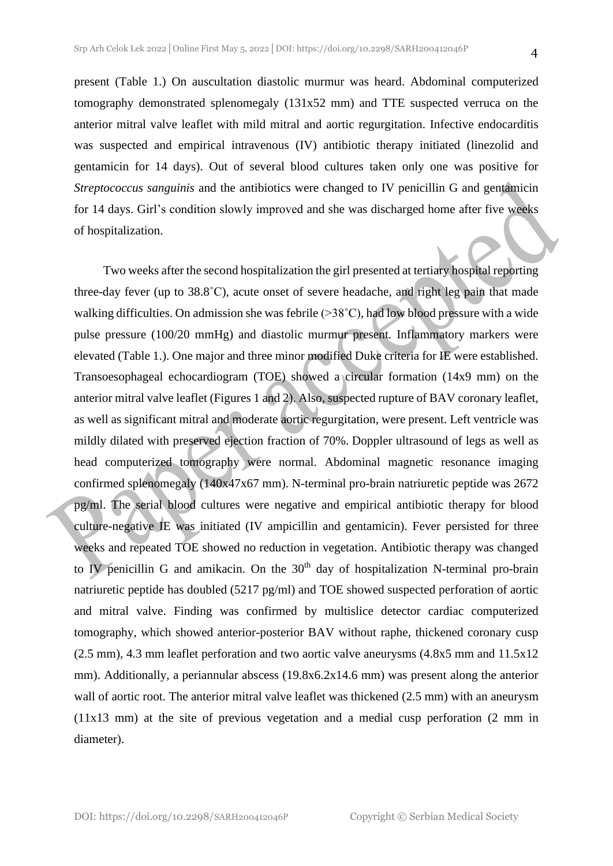present (Table 1.) On auscultation diastolic murmur was heard. Abdominal computerized tomography demonstrated splenomegaly (131x52 mm) and TTE suspected verruca on the anterior mitral valve leaflet with mild mitral and aortic regurgitation. Infective endocarditis was suspected and empirical intravenous (IV) antibiotic therapy initiated (linezolid and gentamicin for 14 days). Out of several blood cultures taken only one was positive for *Streptococcus sanguinis* and the antibiotics were changed to IV penicillin G and gentamicin for 14 days. Girl's condition slowly improved and she was discharged home after five weeks of hospitalization.

Two weeks after the second hospitalization the girl presented at tertiary hospital reporting three-day fever (up to 38.8˚C), acute onset of severe headache, and right leg pain that made walking difficulties. On admission she was febrile  $(>38°C)$ , had low blood pressure with a wide pulse pressure (100/20 mmHg) and diastolic murmur present. Inflammatory markers were elevated (Table 1.). One major and three minor modified Duke criteria for IE were established. Transoesophageal echocardiogram (TOE) showed a circular formation (14x9 mm) on the anterior mitral valve leaflet (Figures 1 and 2). Also, suspected rupture of BAV coronary leaflet, as well as significant mitral and moderate aortic regurgitation, were present. Left ventricle was mildly dilated with preserved ejection fraction of 70%. Doppler ultrasound of legs as well as head computerized tomography were normal. Abdominal magnetic resonance imaging confirmed splenomegaly (140x47x67 mm). N-terminal pro-brain natriuretic peptide was 2672 pg/ml. The serial blood cultures were negative and empirical antibiotic therapy for blood culture-negative IE was initiated (IV ampicillin and gentamicin). Fever persisted for three weeks and repeated TOE showed no reduction in vegetation. Antibiotic therapy was changed to IV penicillin G and amikacin. On the  $30<sup>th</sup>$  day of hospitalization N-terminal pro-brain natriuretic peptide has doubled (5217 pg/ml) and TOE showed suspected perforation of aortic and mitral valve. Finding was confirmed by multislice detector cardiac computerized tomography, which showed anterior-posterior BAV without raphe, thickened coronary cusp (2.5 mm), 4.3 mm leaflet perforation and two aortic valve aneurysms (4.8x5 mm and 11.5x12 mm). Additionally, a periannular abscess (19.8x6.2x14.6 mm) was present along the anterior wall of aortic root. The anterior mitral valve leaflet was thickened (2.5 mm) with an aneurysm (11x13 mm) at the site of previous vegetation and a medial cusp perforation (2 mm in diameter).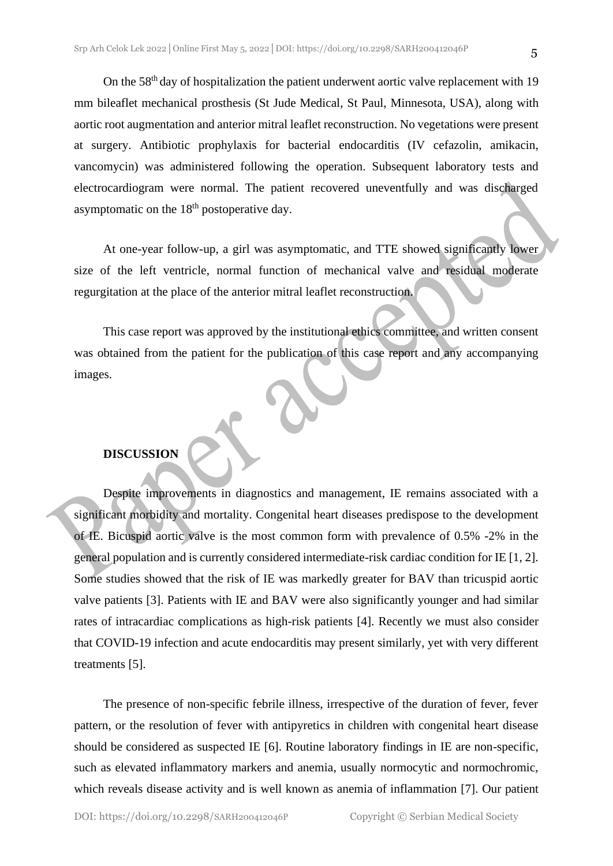On the 58<sup>th</sup> day of hospitalization the patient underwent aortic valve replacement with 19 mm bileaflet mechanical prosthesis (St Jude Medical, St Paul, Minnesota, USA), along with aortic root augmentation and anterior mitral leaflet reconstruction. No vegetations were present at surgery. Antibiotic prophylaxis for bacterial endocarditis (IV cefazolin, amikacin, vancomycin) was administered following the operation. Subsequent laboratory tests and electrocardiogram were normal. The patient recovered uneventfully and was discharged asymptomatic on the  $18<sup>th</sup>$  postoperative day.

At one-year follow-up, a girl was asymptomatic, and TTE showed significantly lower size of the left ventricle, normal function of mechanical valve and residual moderate regurgitation at the place of the anterior mitral leaflet reconstruction.

This case report was approved by the institutional ethics committee, and written consent was obtained from the patient for the publication of this case report and any accompanying images.

#### **DISCUSSION**

Despite improvements in diagnostics and management, IE remains associated with a significant morbidity and mortality. Congenital heart diseases predispose to the development of IE. Bicuspid aortic valve is the most common form with prevalence of 0.5% -2% in the general population and is currently considered intermediate-risk cardiac condition for IE [1, 2]. Some studies showed that the risk of IE was markedly greater for BAV than tricuspid aortic valve patients [3]. Patients with IE and BAV were also significantly younger and had similar rates of intracardiac complications as high-risk patients [4]. Recently we must also consider that COVID-19 infection and acute endocarditis may present similarly, yet with very different treatments [5].

The presence of non-specific febrile illness, irrespective of the duration of fever, fever pattern, or the resolution of fever with antipyretics in children with congenital heart disease should be considered as suspected IE [6]. Routine laboratory findings in IE are non-specific, such as elevated inflammatory markers and anemia, usually normocytic and normochromic, which reveals disease activity and is well known as anemia of inflammation [7]. Our patient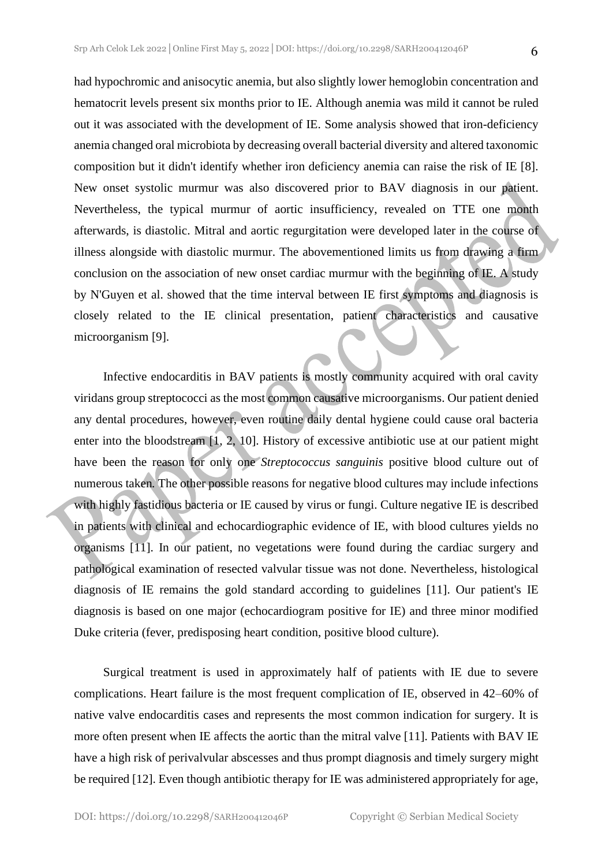had hypochromic and anisocytic anemia, but also slightly lower hemoglobin concentration and hematocrit levels present six months prior to IE. Although anemia was mild it cannot be ruled out it was associated with the development of IE. Some analysis showed that iron-deficiency anemia changed oral microbiota by decreasing overall bacterial diversity and altered taxonomic composition but it didn't identify whether iron deficiency anemia can raise the risk of IE [8]. New onset systolic murmur was also discovered prior to BAV diagnosis in our patient. Nevertheless, the typical murmur of aortic insufficiency, revealed on TTE one month afterwards, is diastolic. Mitral and aortic regurgitation were developed later in the course of illness alongside with diastolic murmur. The abovementioned limits us from drawing a firm conclusion on the association of new onset cardiac murmur with the beginning of IE. A study by N'Guyen et al. showed that the time interval between IE first symptoms and diagnosis is closely related to the IE clinical presentation, patient characteristics and causative microorganism [9].

Infective endocarditis in BAV patients is mostly community acquired with oral cavity viridans group streptococci as the most common causative microorganisms. Our patient denied any dental procedures, however, even routine daily dental hygiene could cause oral bacteria enter into the bloodstream [1, 2, 10]. History of excessive antibiotic use at our patient might have been the reason for only one *Streptococcus sanguinis* positive blood culture out of numerous taken*.* The other possible reasons for negative blood cultures may include infections with highly fastidious bacteria or IE caused by virus or fungi. Culture negative IE is described in patients with clinical and echocardiographic evidence of IE, with blood cultures yields no organisms [11]. In our patient, no vegetations were found during the cardiac surgery and pathological examination of resected valvular tissue was not done. Nevertheless, histological diagnosis of IE remains the gold standard according to guidelines [11]. Our patient's IE diagnosis is based on one major (echocardiogram positive for IE) and three minor modified Duke criteria (fever, predisposing heart condition, positive blood culture).

Surgical treatment is used in approximately half of patients with IE due to severe complications. Heart failure is the most frequent complication of IE, observed in 42–60% of native valve endocarditis cases and represents the most common indication for surgery. It is more often present when IE affects the aortic than the mitral valve [11]. Patients with BAV IE have a high risk of perivalvular abscesses and thus prompt diagnosis and timely surgery might be required [12]. Even though antibiotic therapy for IE was administered appropriately for age,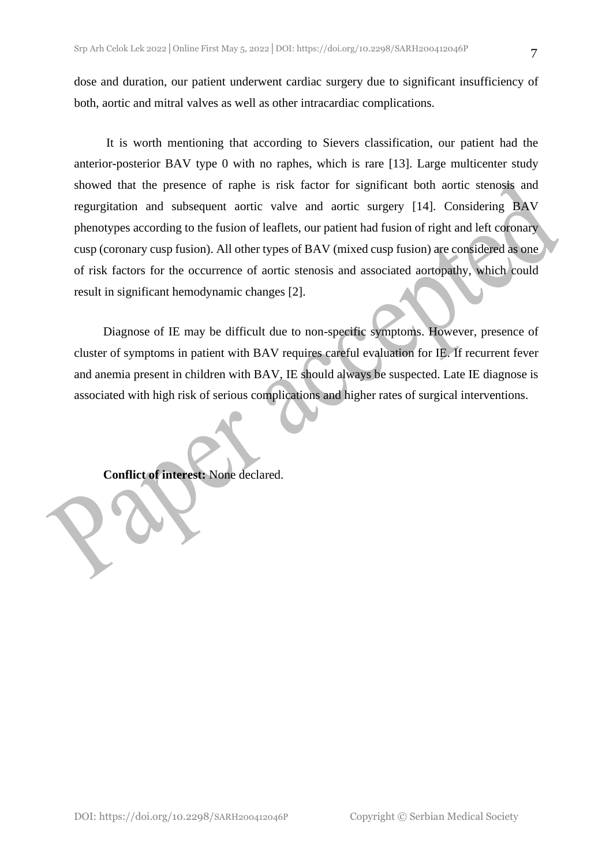dose and duration, our patient underwent cardiac surgery due to significant insufficiency of both, aortic and mitral valves as well as other intracardiac complications.

It is worth mentioning that according to Sievers classification, our patient had the anterior-posterior BAV type 0 with no raphes, which is rare [13]. Large multicenter study showed that the presence of raphe is risk factor for significant both aortic stenosis and regurgitation and subsequent aortic valve and aortic surgery [14]. Considering BAV phenotypes according to the fusion of leaflets, our patient had fusion of right and left coronary cusp (coronary cusp fusion). All other types of BAV (mixed cusp fusion) are considered as one of risk factors for the occurrence of aortic stenosis and associated aortopathy, which could result in significant hemodynamic changes [2].

Diagnose of IE may be difficult due to non-specific symptoms. However, presence of cluster of symptoms in patient with BAV requires careful evaluation for IE. If recurrent fever and anemia present in children with BAV, IE should always be suspected. Late IE diagnose is associated with high risk of serious complications and higher rates of surgical interventions.

**Conflict of interest:** None declared.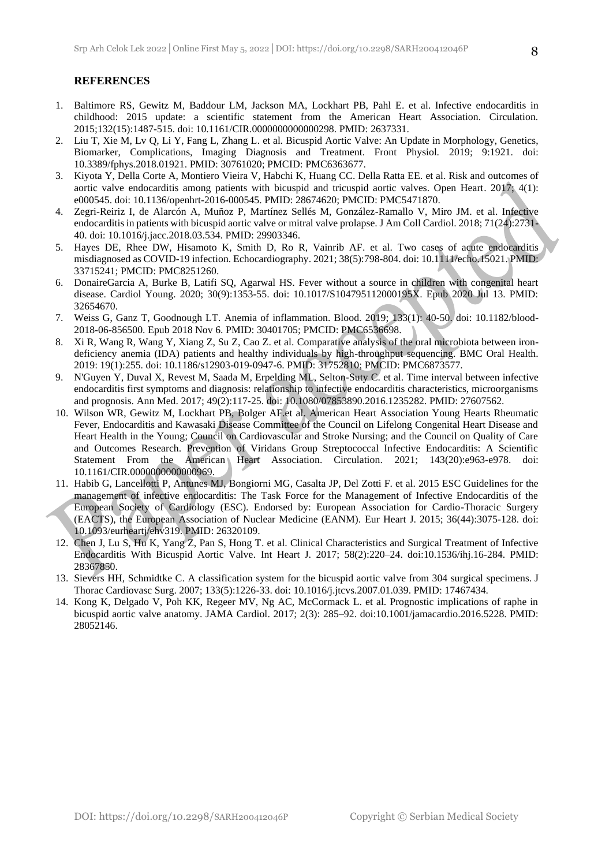#### **REFERENCES**

- 1. Baltimore RS, Gewitz M, Baddour LM, Jackson MA, Lockhart PB, Pahl E. et al. Infective endocarditis in childhood: 2015 update: a scientific statement from the American Heart Association. Circulation. 2015;132(15):1487-515. doi: 10.1161/CIR.0000000000000298. PMID: 2637331.
- 2. Liu T, Xie M, Lv Q, Li Y, Fang L, Zhang L. et al. Bicuspid Aortic Valve: An Update in Morphology, Genetics, Biomarker, Complications, Imaging Diagnosis and Treatment. Front Physiol. 2019; 9:1921. doi: 10.3389/fphys.2018.01921. PMID: 30761020; PMCID: PMC6363677.
- 3. Kiyota Y, Della Corte A, Montiero Vieira V, Habchi K, Huang CC. Della Ratta EE. et al. Risk and outcomes of aortic valve endocarditis among patients with bicuspid and tricuspid aortic valves. Open Heart. 2017; 4(1): e000545. doi: 10.1136/openhrt-2016-000545. PMID: 28674620; PMCID: PMC5471870.
- 4. Zegri-Reiriz I, de Alarcón A, Muñoz P, Martínez Sellés M, González-Ramallo V, Miro JM. et al. Infective endocarditis in patients with bicuspid aortic valve or mitral valve prolapse. J Am Coll Cardiol. 2018; 71(24):2731- 40. doi: 10.1016/j.jacc.2018.03.534. PMID: 29903346.
- 5. Hayes DE, Rhee DW, Hisamoto K, Smith D, Ro R, Vainrib AF. et al. Two cases of acute endocarditis misdiagnosed as COVID-19 infection. Echocardiography. 2021; 38(5):798-804. doi: 10.1111/echo.15021. PMID: 33715241; PMCID: PMC8251260.
- 6. DonaireGarcia A, Burke B, Latifi SQ, Agarwal HS. Fever without a source in children with congenital heart disease. Cardiol Young. 2020; 30(9):1353-55. doi: 10.1017/S104795112000195X. Epub 2020 Jul 13. PMID: 32654670.
- 7. Weiss G, Ganz T, Goodnough LT. Anemia of inflammation. Blood. 2019; 133(1): 40-50. doi: 10.1182/blood-2018-06-856500. Epub 2018 Nov 6. PMID: 30401705; PMCID: PMC6536698.
- 8. Xi R, Wang R, Wang Y, Xiang Z, Su Z, Cao Z. et al. Comparative analysis of the oral microbiota between irondeficiency anemia (IDA) patients and healthy individuals by high-throughput sequencing. BMC Oral Health. 2019: 19(1):255. doi: 10.1186/s12903-019-0947-6. PMID: 31752810; PMCID: PMC6873577.
- 9. N'Guyen Y, Duval X, Revest M, Saada M, Erpelding ML, Selton-Suty C. et al. Time interval between infective endocarditis first symptoms and diagnosis: relationship to infective endocarditis characteristics, microorganisms and prognosis. Ann Med. 2017; 49(2):117-25. doi: 10.1080/07853890.2016.1235282. PMID: 27607562.
- 10. Wilson WR, Gewitz M, Lockhart PB, Bolger AF.et al. American Heart Association Young Hearts Rheumatic Fever, Endocarditis and Kawasaki Disease Committee of the Council on Lifelong Congenital Heart Disease and Heart Health in the Young; Council on Cardiovascular and Stroke Nursing; and the Council on Quality of Care and Outcomes Research. Prevention of Viridans Group Streptococcal Infective Endocarditis: A Scientific Statement From the American Heart Association. Circulation. 2021; 143(20):e963-e978. doi: 10.1161/CIR.0000000000000969.
- 11. Habib G, Lancellotti P, Antunes MJ, Bongiorni MG, Casalta JP, Del Zotti F. et al. 2015 ESC Guidelines for the management of infective endocarditis: The Task Force for the Management of Infective Endocarditis of the European Society of Cardiology (ESC). Endorsed by: European Association for Cardio-Thoracic Surgery (EACTS), the European Association of Nuclear Medicine (EANM). Eur Heart J. 2015; 36(44):3075-128. doi: 10.1093/eurheartj/ehv319. PMID: 26320109.
- 12. Chen J, Lu S, Hu K, Yang Z, Pan S, Hong T. et al. Clinical Characteristics and Surgical Treatment of Infective Endocarditis With Bicuspid Aortic Valve. Int Heart J. 2017; 58(2):220–24. doi:10.1536/ihj.16-284. PMID: 28367850.
- 13. Sievers HH, Schmidtke C. A classification system for the bicuspid aortic valve from 304 surgical specimens. J Thorac Cardiovasc Surg. 2007; 133(5):1226-33. doi: 10.1016/j.jtcvs.2007.01.039. PMID: 17467434.
- 14. Kong K, Delgado V, Poh KK, Regeer MV, Ng AC, McCormack L. et al. Prognostic implications of raphe in bicuspid aortic valve anatomy. JAMA Cardiol. 2017; 2(3): 285–92. doi:10.1001/jamacardio.2016.5228. PMID: 28052146.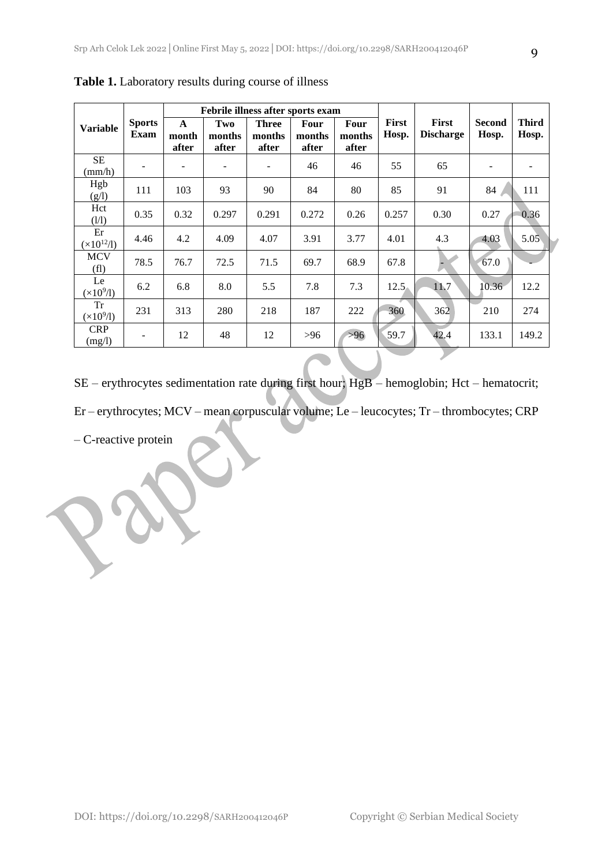| <b>Variable</b>                 | <b>Sports</b><br>Exam | Febrile illness after sports exam |                        |                                 |                                |                         |                       |                                  |                        |                       |
|---------------------------------|-----------------------|-----------------------------------|------------------------|---------------------------------|--------------------------------|-------------------------|-----------------------|----------------------------------|------------------------|-----------------------|
|                                 |                       | $\mathbf{A}$<br>month<br>after    | Two<br>months<br>after | <b>Three</b><br>months<br>after | <b>Four</b><br>months<br>after | Four<br>months<br>after | <b>First</b><br>Hosp. | <b>First</b><br><b>Discharge</b> | <b>Second</b><br>Hosp. | <b>Third</b><br>Hosp. |
| <b>SE</b><br>$\text{(mm/h)}$    |                       |                                   | $\blacksquare$         | -                               | 46                             | 46                      | 55                    | 65                               |                        |                       |
| Hgb<br>(g/l)                    | 111                   | 103                               | 93                     | 90                              | 84                             | 80                      | 85                    | 91                               | 84                     | 111                   |
| Hct<br>(1/1)                    | 0.35                  | 0.32                              | 0.297                  | 0.291                           | 0.272                          | 0.26                    | 0.257                 | 0.30                             | 0.27                   | 0.36                  |
| Er<br>$(x10^{12}/1)$            | 4.46                  | 4.2                               | 4.09                   | 4.07                            | 3.91                           | 3.77                    | 4.01                  | 4.3                              | 4.03                   | 5.05                  |
| <b>MCV</b><br>(f <sub>1</sub> ) | 78.5                  | 76.7                              | 72.5                   | 71.5                            | 69.7                           | 68.9                    | 67.8                  |                                  | 67.0                   |                       |
| Le<br>$(x10^9/1)$               | 6.2                   | 6.8                               | 8.0                    | 5.5                             | 7.8                            | 7.3                     | 12.5                  | 11.7                             | 10.36                  | 12.2                  |
| <b>Tr</b><br>$(\times 10^9$ /1) | 231                   | 313                               | 280                    | 218                             | 187                            | 222                     | 360                   | 362                              | 210                    | 274                   |
| <b>CRP</b><br>(mg/l)            |                       | 12                                | 48                     | 12                              | >96                            | $>96$                   | 59.7                  | 42.4                             | 133.1                  | 149.2                 |

**Table 1.** Laboratory results during course of illness

SE – erythrocytes sedimentation rate during first hour; HgB – hemoglobin; Hct – hematocrit;

Er – erythrocytes; MCV – mean corpuscular volume; Le – leucocytes; Tr – thrombocytes; CRP

– C-reactive protein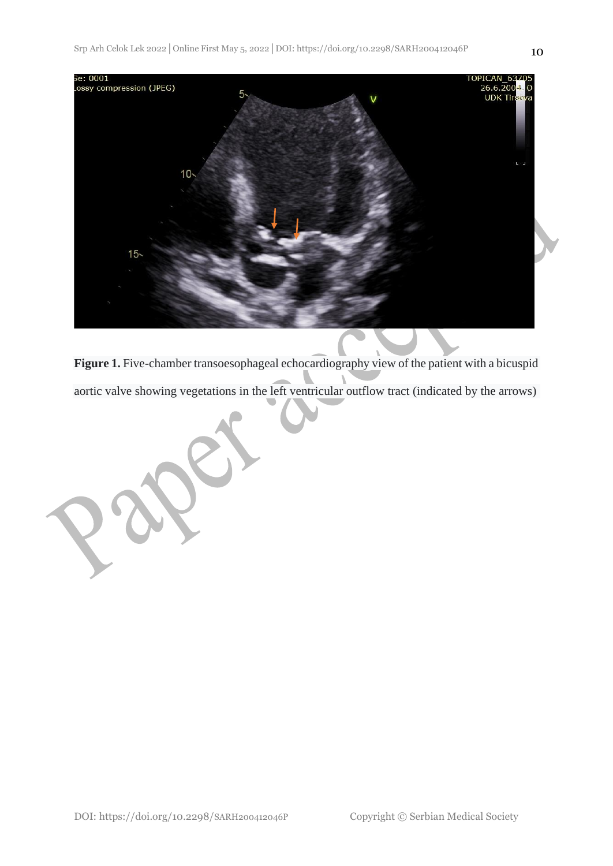

**Figure 1.** Five-chamber transoesophageal echocardiography view of the patient with a bicuspid aortic valve showing vegetations in the left ventricular outflow tract (indicated by the arrows)